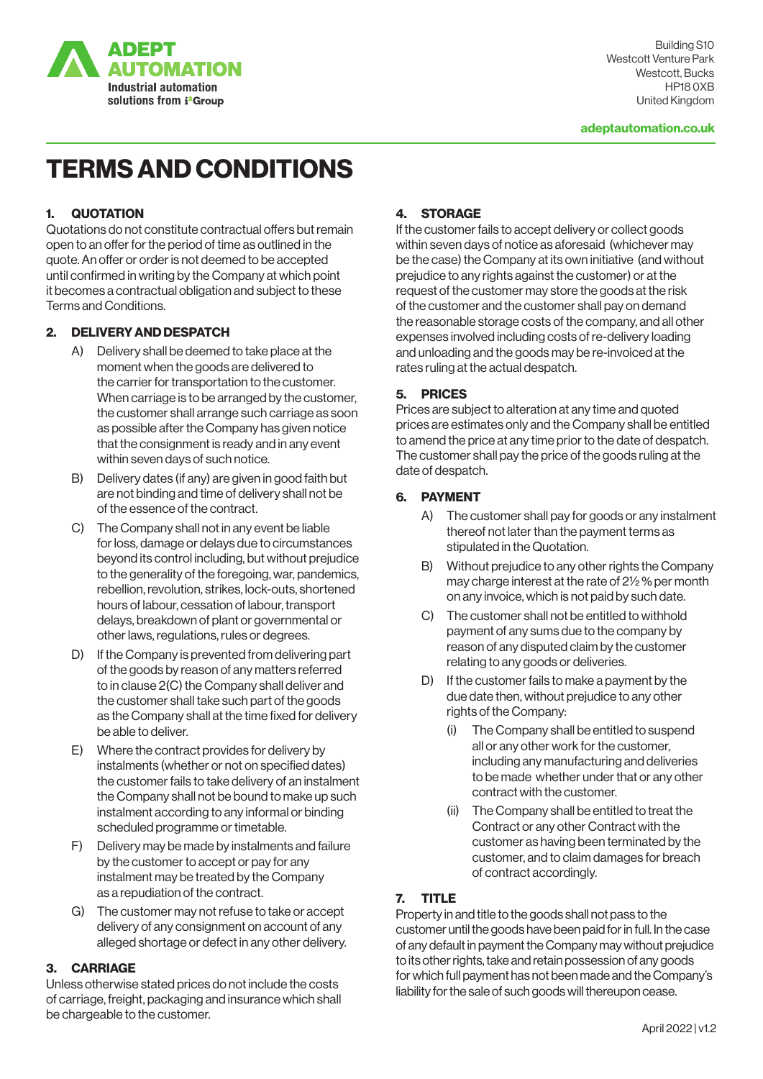

Building S10 Westcott Venture Park Westcott, Bucks HP18 0XB United Kingdom

# TERMS AND CONDITIONS

#### 1. QUOTATION

Quotations do not constitute contractual offers but remain open to an offer for the period of time as outlined in the quote. An offer or order is not deemed to be accepted until confirmed in writing by the Company at which point it becomes a contractual obligation and subject to these Terms and Conditions.

#### 2. DELIVERY AND DESPATCH

- A) Delivery shall be deemed to take place at the moment when the goods are delivered to the carrier for transportation to the customer. When carriage is to be arranged by the customer, the customer shall arrange such carriage as soon as possible after the Company has given notice that the consignment is ready and in any event within seven days of such notice.
- B) Delivery dates (if any) are given in good faith but are not binding and time of delivery shall not be of the essence of the contract.
- C) The Company shall not in any event be liable for loss, damage or delays due to circumstances beyond its control including, but without prejudice to the generality of the foregoing, war, pandemics, rebellion, revolution, strikes, lock-outs, shortened hours of labour, cessation of labour, transport delays, breakdown of plant or governmental or other laws, regulations, rules or degrees.
- D) If the Company is prevented from delivering part of the goods by reason of any matters referred to in clause 2(C) the Company shall deliver and the customer shall take such part of the goods as the Company shall at the time fixed for delivery be able to deliver.
- E) Where the contract provides for delivery by instalments (whether or not on specified dates) the customer fails to take delivery of an instalment the Company shall not be bound to make up such instalment according to any informal or binding scheduled programme or timetable.
- F) Delivery may be made by instalments and failure by the customer to accept or pay for any instalment may be treated by the Company as a repudiation of the contract.
- G) The customer may not refuse to take or accept delivery of any consignment on account of any alleged shortage or defect in any other delivery.

#### 3. CARRIAGE

Unless otherwise stated prices do not include the costs of carriage, freight, packaging and insurance which shall be chargeable to the customer.

# 4. STORAGE

If the customer fails to accept delivery or collect goods within seven days of notice as aforesaid (whichever may be the case) the Company at its own initiative (and without prejudice to any rights against the customer) or at the request of the customer may store the goods at the risk of the customer and the customer shall pay on demand the reasonable storage costs of the company, and all other expenses involved including costs of re-delivery loading and unloading and the goods may be re-invoiced at the rates ruling at the actual despatch.

#### 5. PRICES

Prices are subject to alteration at any time and quoted prices are estimates only and the Company shall be entitled to amend the price at any time prior to the date of despatch. The customer shall pay the price of the goods ruling at the date of despatch.

#### 6. PAYMENT

- A) The customer shall pay for goods or any instalment thereof not later than the payment terms as stipulated in the Quotation.
- B) Without prejudice to any other rights the Company may charge interest at the rate of 2½ % per month on any invoice, which is not paid by such date.
- C) The customer shall not be entitled to withhold payment of any sums due to the company by reason of any disputed claim by the customer relating to any goods or deliveries.
- D) If the customer fails to make a payment by the due date then, without prejudice to any other rights of the Company:
	- (i) The Company shall be entitled to suspend all or any other work for the customer, including any manufacturing and deliveries to be made whether under that or any other contract with the customer.
	- (ii) The Company shall be entitled to treat the Contract or any other Contract with the customer as having been terminated by the customer, and to claim damages for breach of contract accordingly.

## 7. TITLE

Property in and title to the goods shall not pass to the customer until the goods have been paid for in full. In the case of any default in payment the Company may without prejudice to its other rights, take and retain possession of any goods for which full payment has not been made and the Company's liability for the sale of such goods will thereupon cease.